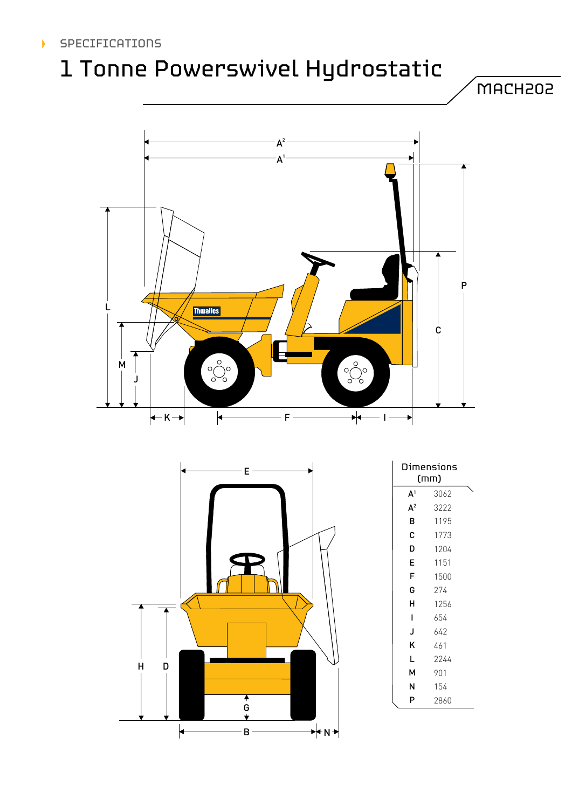# 1 Tonne Powerswivel Hydrostatic





|   |   | ┍     |          |
|---|---|-------|----------|
|   |   |       |          |
|   |   |       |          |
|   |   |       |          |
|   |   |       |          |
| H | D |       |          |
|   |   | $6 +$ |          |
|   |   | В     | ←N→<br>个 |

| Dimensions<br>(mm) |      |  |  |  |
|--------------------|------|--|--|--|
| $\mathsf{A}^1$     | 3062 |  |  |  |
| $\mathsf{A}^2$     | 3222 |  |  |  |
| в                  | 1195 |  |  |  |
| c                  | 1773 |  |  |  |
| D                  | 1204 |  |  |  |
| E                  | 1151 |  |  |  |
| F                  | 1500 |  |  |  |
| G                  | 274  |  |  |  |
| н                  | 1256 |  |  |  |
| ı                  | 654  |  |  |  |
| J                  | 642  |  |  |  |
| K                  | 461  |  |  |  |
| L                  | 2244 |  |  |  |
| м                  | 901  |  |  |  |
| N                  | 154  |  |  |  |
| P                  | 2860 |  |  |  |